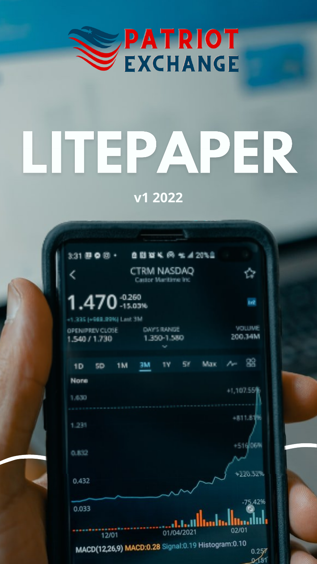

# LITEPAPER

**v1 2022**



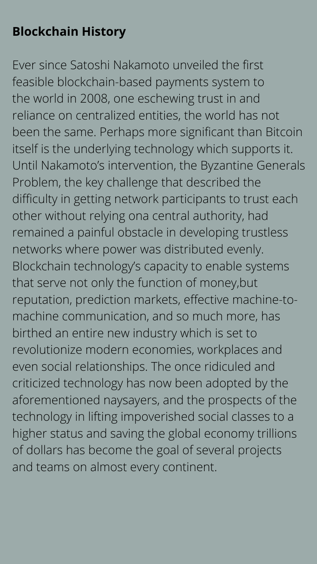# **Blockchain History**

Ever since Satoshi Nakamoto unveiled the first feasible blockchain-based payments system to the world in 2008, one eschewing trust in and reliance on centralized entities, the world has not been the same. Perhaps more significant than Bitcoin itself is the underlying technology which supports it. Until Nakamoto's intervention, the Byzantine Generals Problem, the key challenge that described the difficulty in getting network participants to trust each other without relying ona central authority, had remained a painful obstacle in developing trustless networks where power was distributed evenly. Blockchain technology's capacity to enable systems that serve not only the function of money,but reputation, prediction markets, effective machine-tomachine communication, and so much more, has birthed an entire new industry which is set to revolutionize modern economies, workplaces and even social relationships. The once ridiculed and criticized technology has now been adopted by the aforementioned naysayers, and the prospects of the technology in lifting impoverished social classes to a higher status and saving the global economy trillions of dollars has become the goal of several projects and teams on almost every continent.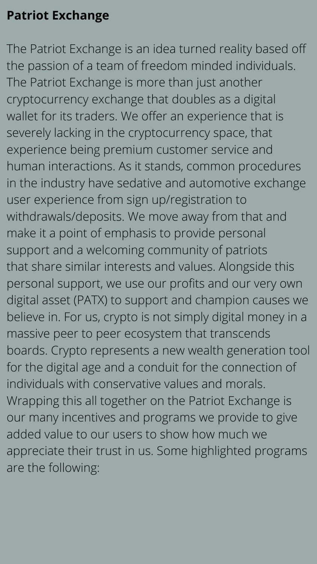# **Patriot Exchange**

The Patriot Exchange is an idea turned reality based off the passion of a team of freedom minded individuals. The Patriot Exchange is more than just another cryptocurrency exchange that doubles as a digital wallet for its traders. We offer an experience that is severely lacking in the cryptocurrency space, that experience being premium customer service and human interactions. As it stands, common procedures in the industry have sedative and automotive exchange user experience from sign up/registration to withdrawals/deposits. We move away from that and make it a point of emphasis to provide personal support and a welcoming community of patriots that share similar interests and values. Alongside this personal support, we use our profits and our very own digital asset (PATX) to support and champion causes we believe in. For us, crypto is not simply digital money in a massive peer to peer ecosystem that transcends boards. Crypto represents a new wealth generation tool for the digital age and a conduit for the connection of individuals with conservative values and morals. Wrapping this all together on the Patriot Exchange is our many incentives and programs we provide to give added value to our users to show how much we appreciate their trust in us. Some highlighted programs are the following: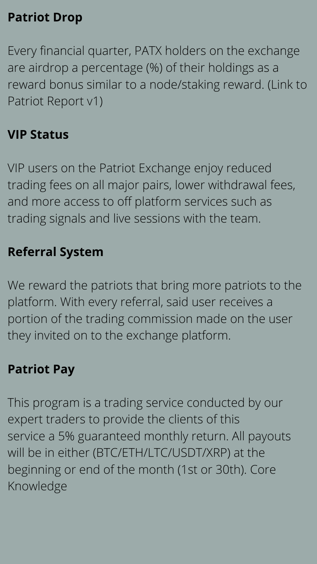## **Patriot Drop**

Every financial quarter, PATX holders on the exchange are airdrop a percentage (%) of their holdings as a reward bonus similar to a node/staking reward. (Link to Patriot Report v1)

#### **VIP Status**

VIP users on the Patriot Exchange enjoy reduced trading fees on all major pairs, lower withdrawal fees, and more access to off platform services such as trading signals and live sessions with the team.

#### **Referral System**

We reward the patriots that bring more patriots to the platform. With every referral, said user receives a portion of the trading commission made on the user they invited on to the exchange platform.

#### **Patriot Pay**

This program is a trading service conducted by our expert traders to provide the clients of this service a 5% guaranteed monthly return. All payouts will be in either (BTC/ETH/LTC/USDT/XRP) at the beginning or end of the month (1st or 30th). Core Knowledge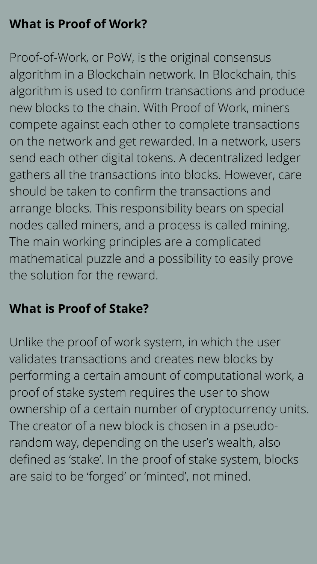# **What is Proof of Work?**

Proof-of-Work, or PoW, is the original consensus algorithm in a Blockchain network. In Blockchain, this algorithm is used to confirm transactions and produce new blocks to the chain. With Proof of Work, miners compete against each other to complete transactions on the network and get rewarded. In a network, users send each other digital tokens. A decentralized ledger gathers all the transactions into blocks. However, care should be taken to confirm the transactions and arrange blocks. This responsibility bears on special nodes called miners, and a process is called mining. The main working principles are a complicated mathematical puzzle and a possibility to easily prove the solution for the reward.

## **What is Proof of Stake?**

Unlike the proof of work system, in which the user

validates transactions and creates new blocks by performing a certain amount of computational work, a proof of stake system requires the user to show ownership of a certain number of cryptocurrency units. The creator of a new block is chosen in a pseudorandom way, depending on the user's wealth, also defined as 'stake'. In the proof of stake system, blocks are said to be 'forged' or 'minted' , not mined.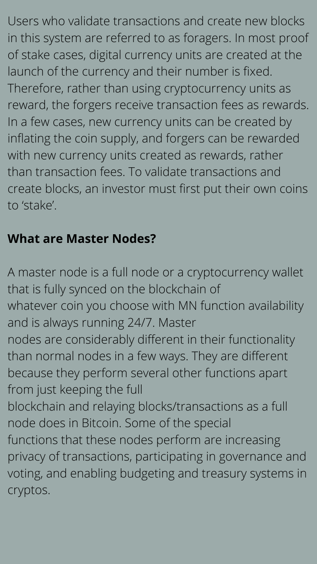Users who validate transactions and create new blocks in this system are referred to as foragers. In most proof of stake cases, digital currency units are created at the launch of the currency and their number is fixed. Therefore, rather than using cryptocurrency units as reward, the forgers receive transaction fees as rewards. In a few cases, new currency units can be created by inflating the coin supply, and forgers can be rewarded with new currency units created as rewards, rather than transaction fees. To validate transactions and create blocks, an investor must first put their own coins to 'stake'.

#### **What are Master Nodes?**

A master node is a full node or a cryptocurrency wallet that is fully synced on the blockchain of whatever coin you choose with MN function availability and is always running 24/7. Master nodes are considerably different in their functionality than normal nodes in a few ways. They are different because they perform several other functions apart from just keeping the full blockchain and relaying blocks/transactions as a full node does in Bitcoin. Some of the special functions that these nodes perform are increasing privacy of transactions, participating in governance and voting, and enabling budgeting and treasury systems in cryptos.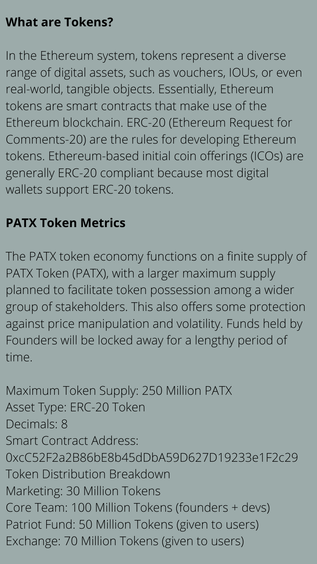# **What are Tokens?**

In the Ethereum system, tokens represent a diverse range of digital assets, such as vouchers, IOUs, or even real-world, tangible objects. Essentially, Ethereum tokens are smart contracts that make use of the Ethereum blockchain. ERC-20 (Ethereum Request for Comments-20) are the rules for developing Ethereum tokens. Ethereum-based initial coin offerings (ICOs) are generally ERC-20 compliant because most digital wallets support ERC-20 tokens.

#### **PATX Token Metrics**

The PATX token economy functions on a finite supply of PATX Token (PATX), with a larger maximum supply planned to facilitate token possession among a wider group of stakeholders. This also offers some protection against price manipulation and volatility. Funds held by Founders will be locked away for a lengthy period of

#### time.

Maximum Token Supply: 250 Million PATX Asset Type: ERC-20 Token Decimals: 8 Smart Contract Address: 0xcC52F2a2B86bE8b45dDbA59D627D19233e1F2c29 Token Distribution Breakdown Marketing: 30 Million Tokens Core Team: 100 Million Tokens (founders + devs) Patriot Fund: 50 Million Tokens (given to users) Exchange: 70 Million Tokens (given to users)